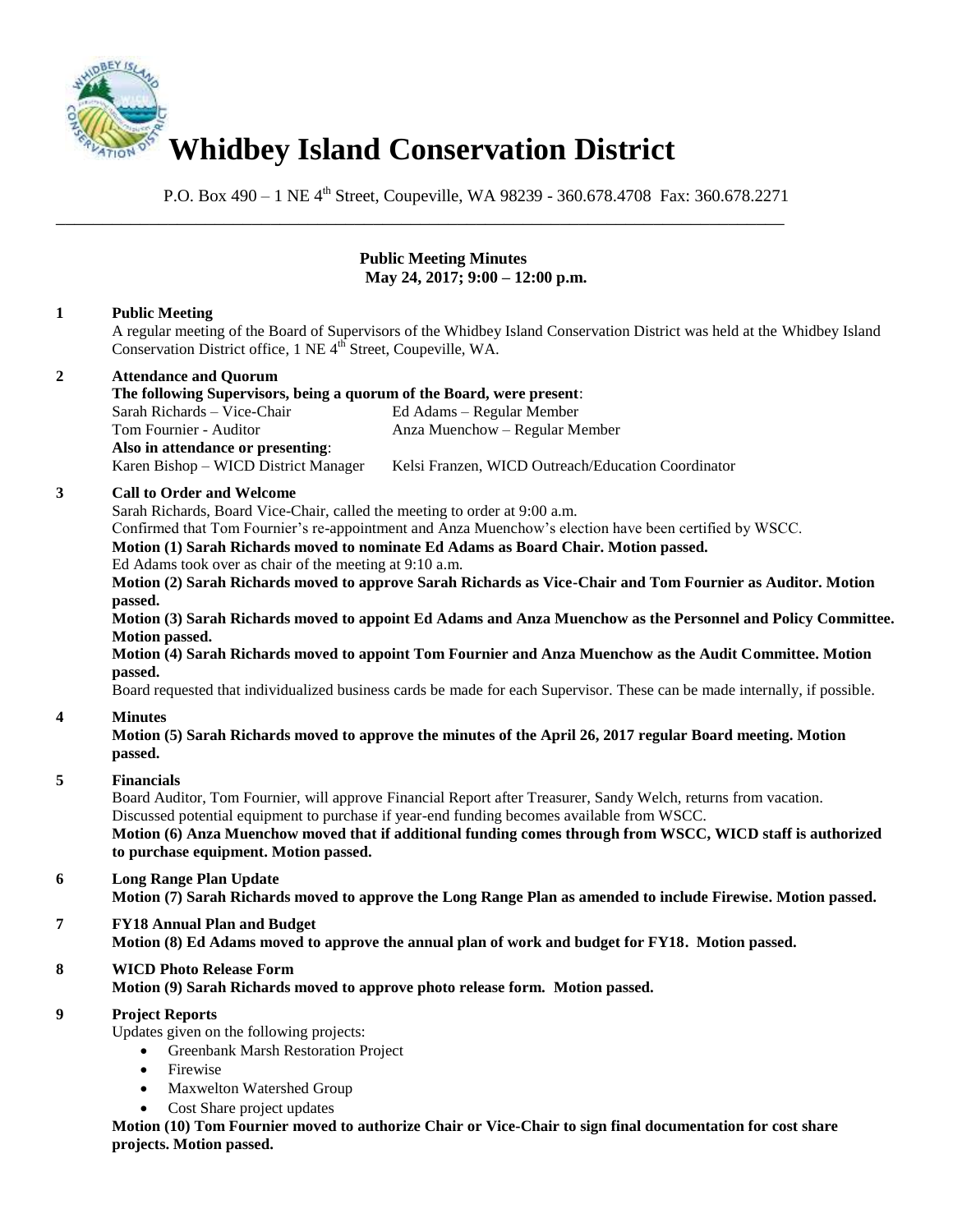

P.O. Box  $490 - 1$  NE  $4<sup>th</sup>$  Street, Coupeville, WA 98239 - 360.678.4708 Fax: 360.678.2271

### **Public Meeting Minutes May 24, 2017; 9:00 – 12:00 p.m.**

# **1 Public Meeting**

A regular meeting of the Board of Supervisors of the Whidbey Island Conservation District was held at the Whidbey Island Conservation District office, 1 NE 4<sup>th</sup> Street, Coupeville, WA.

**2 Attendance and Quorum The following Supervisors, being a quorum of the Board, were present**: Sarah Richards – Vice-Chair Ed Adams – Regular Member Anza Muenchow – Regular Member **Also in attendance or presenting**: Karen Bishop – WICD District Manager Kelsi Franzen, WICD Outreach/Education Coordinator

\_\_\_\_\_\_\_\_\_\_\_\_\_\_\_\_\_\_\_\_\_\_\_\_\_\_\_\_\_\_\_\_\_\_\_\_\_\_\_\_\_\_\_\_\_\_\_\_\_\_\_\_\_\_\_\_\_\_\_\_\_\_\_\_\_\_\_\_\_\_\_\_\_\_\_\_\_\_

#### **3 Call to Order and Welcome**

Sarah Richards, Board Vice-Chair, called the meeting to order at 9:00 a.m.

Confirmed that Tom Fournier's re-appointment and Anza Muenchow's election have been certified by WSCC.

**Motion (1) Sarah Richards moved to nominate Ed Adams as Board Chair. Motion passed.** 

Ed Adams took over as chair of the meeting at 9:10 a.m.

**Motion (2) Sarah Richards moved to approve Sarah Richards as Vice-Chair and Tom Fournier as Auditor. Motion passed.** 

**Motion (3) Sarah Richards moved to appoint Ed Adams and Anza Muenchow as the Personnel and Policy Committee. Motion passed.** 

**Motion (4) Sarah Richards moved to appoint Tom Fournier and Anza Muenchow as the Audit Committee. Motion passed.** 

Board requested that individualized business cards be made for each Supervisor. These can be made internally, if possible.

#### **4 Minutes**

**Motion (5) Sarah Richards moved to approve the minutes of the April 26, 2017 regular Board meeting. Motion passed.** 

#### **5 Financials**

Board Auditor, Tom Fournier, will approve Financial Report after Treasurer, Sandy Welch, returns from vacation. Discussed potential equipment to purchase if year-end funding becomes available from WSCC.  **Motion (6) Anza Muenchow moved that if additional funding comes through from WSCC, WICD staff is authorized to purchase equipment. Motion passed.** 

- **6 Long Range Plan Update Motion (7) Sarah Richards moved to approve the Long Range Plan as amended to include Firewise. Motion passed.**
- **7 FY18 Annual Plan and Budget Motion (8) Ed Adams moved to approve the annual plan of work and budget for FY18. Motion passed.**

# **8 WICD Photo Release Form**

**Motion (9) Sarah Richards moved to approve photo release form. Motion passed.** 

#### **9 Project Reports**

Updates given on the following projects:

- Greenbank Marsh Restoration Project
- Firewise
- Maxwelton Watershed Group
- Cost Share project updates

**Motion (10) Tom Fournier moved to authorize Chair or Vice-Chair to sign final documentation for cost share projects. Motion passed.**